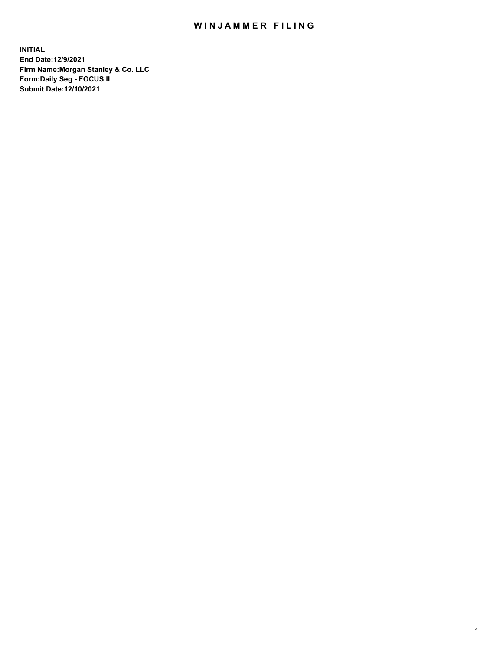## WIN JAMMER FILING

**INITIAL End Date:12/9/2021 Firm Name:Morgan Stanley & Co. LLC Form:Daily Seg - FOCUS II Submit Date:12/10/2021**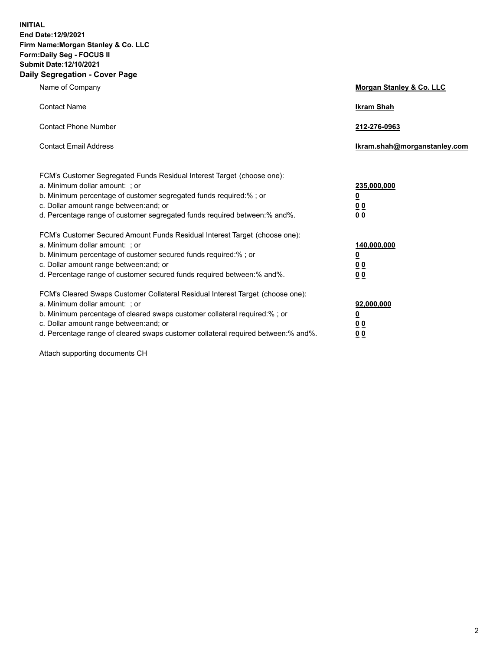**INITIAL End Date:12/9/2021 Firm Name:Morgan Stanley & Co. LLC Form:Daily Seg - FOCUS II Submit Date:12/10/2021 Daily Segregation - Cover Page**

| Name of Company                                                                                                                                                                                                                                                                                                                | <b>Morgan Stanley &amp; Co. LLC</b>                    |
|--------------------------------------------------------------------------------------------------------------------------------------------------------------------------------------------------------------------------------------------------------------------------------------------------------------------------------|--------------------------------------------------------|
| <b>Contact Name</b>                                                                                                                                                                                                                                                                                                            | <b>Ikram Shah</b>                                      |
| <b>Contact Phone Number</b>                                                                                                                                                                                                                                                                                                    | 212-276-0963                                           |
| <b>Contact Email Address</b>                                                                                                                                                                                                                                                                                                   | Ikram.shah@morganstanley.com                           |
| FCM's Customer Segregated Funds Residual Interest Target (choose one):<br>a. Minimum dollar amount: ; or<br>b. Minimum percentage of customer segregated funds required:% ; or<br>c. Dollar amount range between: and; or<br>d. Percentage range of customer segregated funds required between:% and%.                         | 235,000,000<br><u>0</u><br>0 Q<br>0 Q                  |
| FCM's Customer Secured Amount Funds Residual Interest Target (choose one):<br>a. Minimum dollar amount: ; or<br>b. Minimum percentage of customer secured funds required:% ; or<br>c. Dollar amount range between: and; or<br>d. Percentage range of customer secured funds required between: % and %.                         | 140,000,000<br><u>0</u><br><u>00</u><br>0 <sub>0</sub> |
| FCM's Cleared Swaps Customer Collateral Residual Interest Target (choose one):<br>a. Minimum dollar amount: ; or<br>b. Minimum percentage of cleared swaps customer collateral required:% ; or<br>c. Dollar amount range between: and; or<br>d. Percentage range of cleared swaps customer collateral required between:% and%. | 92,000,000<br><u>0</u><br>0 Q<br>00                    |

Attach supporting documents CH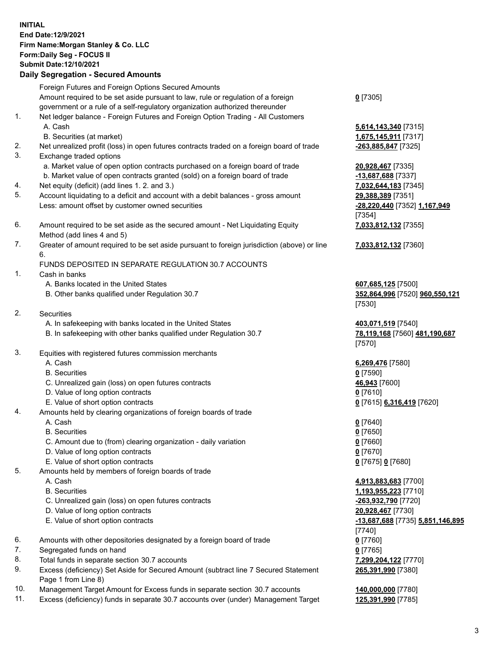## **INITIAL End Date:12/9/2021 Firm Name:Morgan Stanley & Co. LLC Form:Daily Seg - FOCUS II Submit Date:12/10/2021**

## **Daily Segregation - Secured Amounts**

Foreign Futures and Foreign Options Secured Amounts Amount required to be set aside pursuant to law, rule or regulation of a foreign government or a rule of a self-regulatory organization authorized thereunder 1. Net ledger balance - Foreign Futures and Foreign Option Trading - All Customers A. Cash **5,614,143,340** [7315] B. Securities (at market) **1,675,145,911** [7317] 2. Net unrealized profit (loss) in open futures contracts traded on a foreign board of trade **-263,885,847** [7325] 3. Exchange traded options a. Market value of open option contracts purchased on a foreign board of trade **20,928,467** [7335] b. Market value of open contracts granted (sold) on a foreign board of trade **-13,687,688** [7337] 4. Net equity (deficit) (add lines 1. 2. and 3.) **7,032,644,183** [7345] 5. Account liquidating to a deficit and account with a debit balances - gross amount **29,388,389** [7351] Less: amount offset by customer owned securities **-28,220,440** [7352] **1,167,949** 6. Amount required to be set aside as the secured amount - Net Liquidating Equity Method (add lines 4 and 5) 7. Greater of amount required to be set aside pursuant to foreign jurisdiction (above) or line 6. FUNDS DEPOSITED IN SEPARATE REGULATION 30.7 ACCOUNTS 1. Cash in banks A. Banks located in the United States **607,685,125** [7500] B. Other banks qualified under Regulation 30.7 **352,864,996** [7520] **960,550,121** 2. Securities A. In safekeeping with banks located in the United States **403,071,519** [7540] B. In safekeeping with other banks qualified under Regulation 30.7 **78,119,168** [7560] **481,190,687** 3. Equities with registered futures commission merchants A. Cash **6,269,476** [7580] B. Securities **0** [7590] C. Unrealized gain (loss) on open futures contracts **46,943** [7600] D. Value of long option contracts **0** [7610] E. Value of short option contracts **0** [7615] **6,316,419** [7620] 4. Amounts held by clearing organizations of foreign boards of trade A. Cash **0** [7640] B. Securities **0** [7650] C. Amount due to (from) clearing organization - daily variation **0** [7660] D. Value of long option contracts **0** [7670] E. Value of short option contracts **0** [7675] **0** [7680] 5. Amounts held by members of foreign boards of trade A. Cash **4,913,883,683** [7700] B. Securities **1,193,955,223** [7710] C. Unrealized gain (loss) on open futures contracts **-263,932,790** [7720] D. Value of long option contracts **20,928,467** [7730] E. Value of short option contracts **-13,687,688** [7735] **5,851,146,895**

- 6. Amounts with other depositories designated by a foreign board of trade **0** [7760]
- 7. Segregated funds on hand **0** [7765]
- 8. Total funds in separate section 30.7 accounts **7,299,204,122** [7770]
- 9. Excess (deficiency) Set Aside for Secured Amount (subtract line 7 Secured Statement Page 1 from Line 8)
- 10. Management Target Amount for Excess funds in separate section 30.7 accounts **140,000,000** [7780]
- 11. Excess (deficiency) funds in separate 30.7 accounts over (under) Management Target **125,391,990** [7785]

**0** [7305]

[7354] **7,033,812,132** [7355]

**7,033,812,132** [7360]

[7530]

[7570]

[7740] **265,391,990** [7380]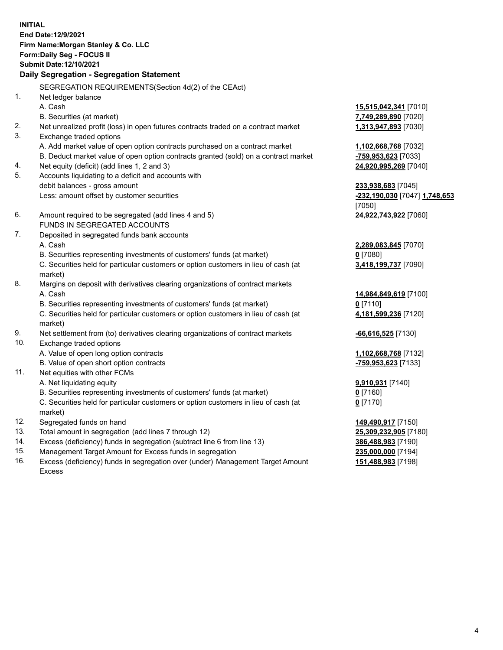**INITIAL End Date:12/9/2021 Firm Name:Morgan Stanley & Co. LLC Form:Daily Seg - FOCUS II Submit Date:12/10/2021 Daily Segregation - Segregation Statement** SEGREGATION REQUIREMENTS(Section 4d(2) of the CEAct) 1. Net ledger balance A. Cash **15,515,042,341** [7010] B. Securities (at market) **7,749,289,890** [7020] 2. Net unrealized profit (loss) in open futures contracts traded on a contract market **1,313,947,893** [7030] 3. Exchange traded options A. Add market value of open option contracts purchased on a contract market **1,102,668,768** [7032] B. Deduct market value of open option contracts granted (sold) on a contract market **-759,953,623** [7033] 4. Net equity (deficit) (add lines 1, 2 and 3) **24,920,995,269** [7040] 5. Accounts liquidating to a deficit and accounts with debit balances - gross amount **233,938,683** [7045] Less: amount offset by customer securities **-232,190,030** [7047] **1,748,653** [7050] 6. Amount required to be segregated (add lines 4 and 5) **24,922,743,922** [7060] FUNDS IN SEGREGATED ACCOUNTS 7. Deposited in segregated funds bank accounts A. Cash **2,289,083,845** [7070] B. Securities representing investments of customers' funds (at market) **0** [7080] C. Securities held for particular customers or option customers in lieu of cash (at market) **3,418,199,737** [7090] 8. Margins on deposit with derivatives clearing organizations of contract markets A. Cash **14,984,849,619** [7100] B. Securities representing investments of customers' funds (at market) **0** [7110] C. Securities held for particular customers or option customers in lieu of cash (at market) **4,181,599,236** [7120] 9. Net settlement from (to) derivatives clearing organizations of contract markets **-66,616,525** [7130] 10. Exchange traded options A. Value of open long option contracts **1,102,668,768** [7132] B. Value of open short option contracts **-759,953,623** [7133] 11. Net equities with other FCMs A. Net liquidating equity **9,910,931** [7140] B. Securities representing investments of customers' funds (at market) **0** [7160] C. Securities held for particular customers or option customers in lieu of cash (at market) **0** [7170] 12. Segregated funds on hand **149,490,917** [7150] 13. Total amount in segregation (add lines 7 through 12) **25,309,232,905** [7180] 14. Excess (deficiency) funds in segregation (subtract line 6 from line 13) **386,488,983** [7190] 15. Management Target Amount for Excess funds in segregation **235,000,000** [7194]

16. Excess (deficiency) funds in segregation over (under) Management Target Amount Excess

**151,488,983** [7198]